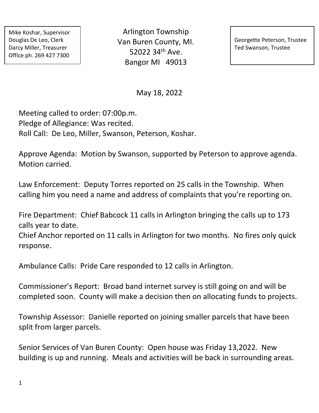Mike Koshar, Supervisor Douglas De Leo, Clerk Darcy Miller, Treasurer Office ph. 269 427 7300

Arlington Township Van Buren County, MI. 52022 34th Ave. Bangor MI 49013

Georgette Peterson, Trustee Ted Swanson, Trustee

May 18, 2022

Meeting called to order: 07:00p.m. Pledge of Allegiance: Was recited. Roll Call: De Leo, Miller, Swanson, Peterson, Koshar.

Approve Agenda: Motion by Swanson, supported by Peterson to approve agenda. Motion carried.

Law Enforcement: Deputy Torres reported on 25 calls in the Township. When calling him you need a name and address of complaints that you're reporting on.

Fire Department: Chief Babcock 11 calls in Arlington bringing the calls up to 173 calls year to date.

Chief Anchor reported on 11 calls in Arlington for two months. No fires only quick response.

Ambulance Calls: Pride Care responded to 12 calls in Arlington.

Commissioner's Report: Broad band internet survey is still going on and will be completed soon. County will make a decision then on allocating funds to projects.

Township Assessor: Danielle reported on joining smaller parcels that have been split from larger parcels.

Senior Services of Van Buren County: Open house was Friday 13,2022. New building is up and running. Meals and activities will be back in surrounding areas.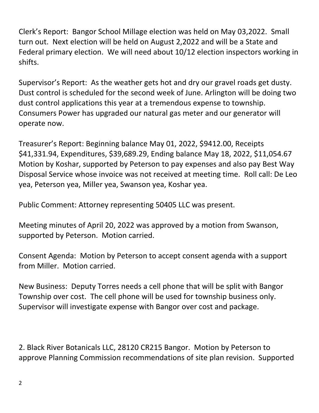Clerk's Report: Bangor School Millage election was held on May 03,2022. Small turn out. Next election will be held on August 2,2022 and will be a State and Federal primary election. We will need about 10/12 election inspectors working in shifts.

Supervisor's Report: As the weather gets hot and dry our gravel roads get dusty. Dust control is scheduled for the second week of June. Arlington will be doing two dust control applications this year at a tremendous expense to township. Consumers Power has upgraded our natural gas meter and our generator will operate now.

Treasurer's Report: Beginning balance May 01, 2022, \$9412.00, Receipts \$41,331.94, Expenditures, \$39,689.29, Ending balance May 18, 2022, \$11,054.67 Motion by Koshar, supported by Peterson to pay expenses and also pay Best Way Disposal Service whose invoice was not received at meeting time. Roll call: De Leo yea, Peterson yea, Miller yea, Swanson yea, Koshar yea.

Public Comment: Attorney representing 50405 LLC was present.

Meeting minutes of April 20, 2022 was approved by a motion from Swanson, supported by Peterson. Motion carried.

Consent Agenda: Motion by Peterson to accept consent agenda with a support from Miller. Motion carried.

New Business: Deputy Torres needs a cell phone that will be split with Bangor Township over cost. The cell phone will be used for township business only. Supervisor will investigate expense with Bangor over cost and package.

2. Black River Botanicals LLC, 28120 CR215 Bangor. Motion by Peterson to approve Planning Commission recommendations of site plan revision. Supported